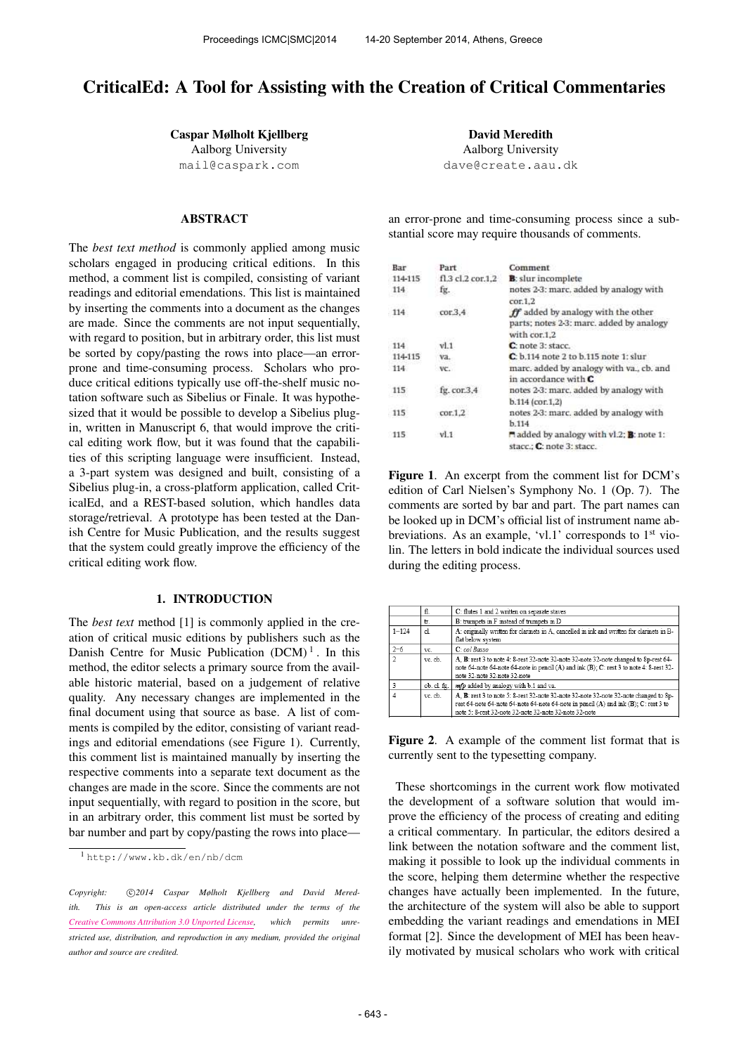# CriticalEd: A Tool for Assisting with the Creation of Critical Commentaries

Caspar Mølholt Kjellberg Aalborg University [mail@caspark.com](mailto:mail@caspark.com)

# ABSTRACT

The *best text method* is commonly applied among music scholars engaged in producing critical editions. In this method, a comment list is compiled, consisting of variant readings and editorial emendations. This list is maintained by inserting the comments into a document as the changes are made. Since the comments are not input sequentially, with regard to position, but in arbitrary order, this list must be sorted by copy/pasting the rows into place—an errorprone and time-consuming process. Scholars who produce critical editions typically use off-the-shelf music notation software such as Sibelius or Finale. It was hypothesized that it would be possible to develop a Sibelius plugin, written in Manuscript 6, that would improve the critical editing work flow, but it was found that the capabilities of this scripting language were insufficient. Instead, a 3-part system was designed and built, consisting of a Sibelius plug-in, a cross-platform application, called CriticalEd, and a REST-based solution, which handles data storage/retrieval. A prototype has been tested at the Danish Centre for Music Publication, and the results suggest that the system could greatly improve the efficiency of the critical editing work flow.

## 1. INTRODUCTION

The *best text* method [1] is commonly applied in the creation of critical music editions by publishers such as the Danish Centre for Music Publication  $(DCM)^1$ . In this method, the editor selects a primary source from the available historic material, based on a judgement of relative quality. Any necessary changes are implemented in the final document using that source as base. A list of comments is compiled by the editor, consisting of variant readings and editorial emendations (see Figure 1). Currently, this comment list is maintained manually by inserting the respective comments into a separate text document as the changes are made in the score. Since the comments are not input sequentially, with regard to position in the score, but in an arbitrary order, this comment list must be sorted by bar number and part by copy/pasting the rows into place—

David Meredith Aalborg University [dave@create.aau.dk](mailto:dave@create.aau.dk)

an error-prone and time-consuming process since a substantial score may require thousands of comments.

| Bar     | Part              | Comment                                                                                        |
|---------|-------------------|------------------------------------------------------------------------------------------------|
| 114-115 | fl.3 cl.2 cor.1.2 | <b>B</b> : slur incomplete                                                                     |
| 114     | fg.               | notes 2-3: marc, added by analogy with<br>cor.1.2                                              |
| 114     | cor.3.4           | ff added by analogy with the other<br>parts; notes 2-3: marc, added by analogy<br>with cor.1.2 |
| 114     | v1.1              | C: note 3: stacc.                                                                              |
| 114-115 | va.               | $Cc$ b.114 note 2 to b.115 note 1: slur                                                        |
| 114     | VC.               | marc, added by analogy with va., cb. and<br>in accordance with $C$                             |
| 115     | fg. cor.3,4       | notes 2-3: marc, added by analogy with                                                         |
|         |                   | $b.114$ (cor.1.2)                                                                              |
| 115     | cor.1.2           | notes 2-3: marc, added by analogy with                                                         |
|         |                   | b.114                                                                                          |
| 115     | v1.1              | added by analogy with vl.2; <b>B</b> : note 1:                                                 |
|         |                   | stacc.: C: note 3: stacc.                                                                      |

Figure 1. An excerpt from the comment list for DCM's edition of Carl Nielsen's Symphony No. 1 (Op. 7). The comments are sorted by bar and part. The part names can be looked up in DCM's official list of instrument name abbreviations. As an example, 'vl.1' corresponds to 1<sup>st</sup> violin. The letters in bold indicate the individual sources used during the editing process.

|                | fl.         | C: flutes 1 and 2 written on separate staves                                                                                                                                                                                            |
|----------------|-------------|-----------------------------------------------------------------------------------------------------------------------------------------------------------------------------------------------------------------------------------------|
|                | tr.         | B: trumpets in F instead of trumpets in D                                                                                                                                                                                               |
| $1 - 124$      | cl.         | A: originally written for clarinets in A, cancelled in ink and written for clarinets in B-<br>flat below system                                                                                                                         |
| $2 - 6$        | VC.         | C: col Basso                                                                                                                                                                                                                            |
| $\overline{2}$ | vc. cb.     | A. B: rest 3 to note 4: 8-rest 32-note 32-note 32-note 32-note changed to 8p-rest 64-<br>note 64-note 64-note 64-note in pencil (A) and ink (B); C: rest 3 to note 4: 8-rest 32-<br>note 32-note 32-note 32-note                        |
|                | ob. cl. fg. | mfp added by analogy with b.1 and va.                                                                                                                                                                                                   |
|                | vc. cb.     | A. B: rest 3 to note 5: 8-rest 32-note 32-note 32-note 32-note 32-note changed to 8p-<br>rest 64-note 64-note 64-note 64-note 64-note in pencil (A) and ink (B); C: rest 3 to<br>note 5: 8-rest 32-note 32-note 32-note 32-note 32-note |

Figure 2. A example of the comment list format that is currently sent to the typesetting company.

These shortcomings in the current work flow motivated the development of a software solution that would improve the efficiency of the process of creating and editing a critical commentary. In particular, the editors desired a link between the notation software and the comment list, making it possible to look up the individual comments in the score, helping them determine whether the respective changes have actually been implemented. In the future, the architecture of the system will also be able to support embedding the variant readings and emendations in MEI format [2]. Since the development of MEI has been heavily motivated by musical scholars who work with critical

<sup>1</sup> <http://www.kb.dk/en/nb/dcm>

Copyright:  $\bigcirc$ 2014 Caspar Mølholt Kjellberg and David Mered*ith. This is an open-access article distributed under the terms of the [Creative Commons Attribution 3.0 Unported License,](http://creativecommons.org/licenses/by/3.0/) which permits unrestricted use, distribution, and reproduction in any medium, provided the original author and source are credited.*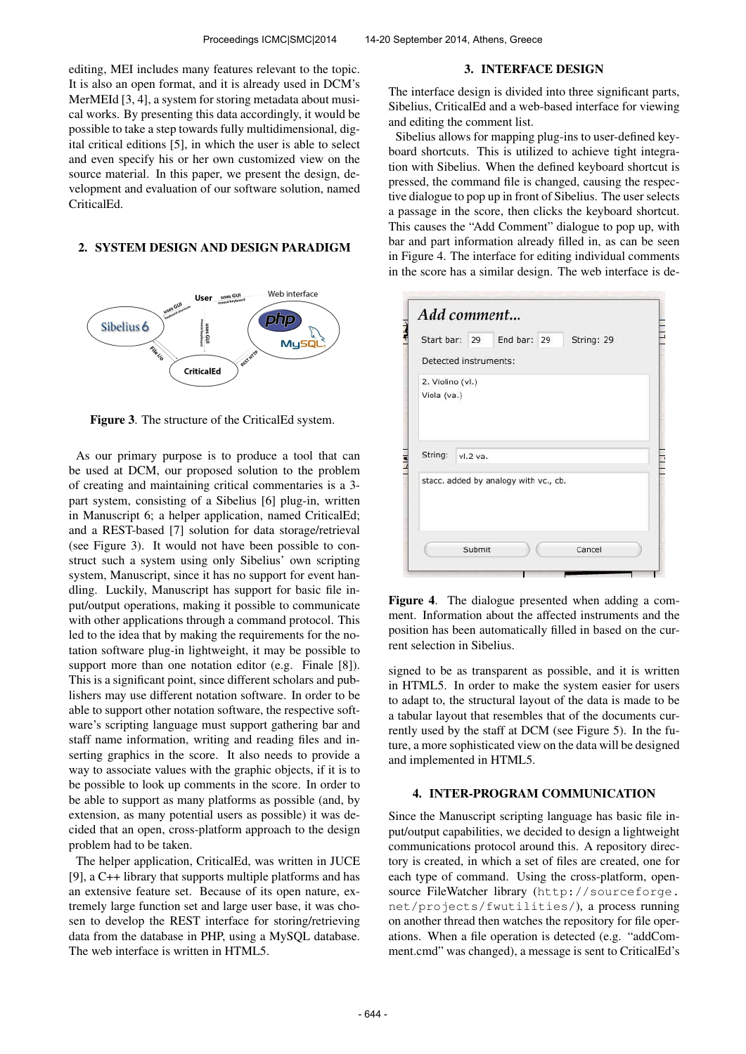editing, MEI includes many features relevant to the topic. It is also an open format, and it is already used in DCM's MerMEId [3, 4], a system for storing metadata about musical works. By presenting this data accordingly, it would be possible to take a step towards fully multidimensional, digital critical editions [5], in which the user is able to select and even specify his or her own customized view on the source material. In this paper, we present the design, development and evaluation of our software solution, named CriticalEd.

#### 2. SYSTEM DESIGN AND DESIGN PARADIGM



Figure 3. The structure of the CriticalEd system.

As our primary purpose is to produce a tool that can be used at DCM, our proposed solution to the problem of creating and maintaining critical commentaries is a 3 part system, consisting of a Sibelius [6] plug-in, written in Manuscript 6; a helper application, named CriticalEd; and a REST-based [7] solution for data storage/retrieval (see Figure 3). It would not have been possible to construct such a system using only Sibelius' own scripting system, Manuscript, since it has no support for event handling. Luckily, Manuscript has support for basic file input/output operations, making it possible to communicate with other applications through a command protocol. This led to the idea that by making the requirements for the notation software plug-in lightweight, it may be possible to support more than one notation editor (e.g. Finale [8]). This is a significant point, since different scholars and publishers may use different notation software. In order to be able to support other notation software, the respective software's scripting language must support gathering bar and staff name information, writing and reading files and inserting graphics in the score. It also needs to provide a way to associate values with the graphic objects, if it is to be possible to look up comments in the score. In order to be able to support as many platforms as possible (and, by extension, as many potential users as possible) it was decided that an open, cross-platform approach to the design problem had to be taken.

The helper application, CriticalEd, was written in JUCE [9], a C++ library that supports multiple platforms and has an extensive feature set. Because of its open nature, extremely large function set and large user base, it was chosen to develop the REST interface for storing/retrieving data from the database in PHP, using a MySQL database. The web interface is written in HTML5.

#### 3. INTERFACE DESIGN

The interface design is divided into three significant parts, Sibelius, CriticalEd and a web-based interface for viewing and editing the comment list.

Sibelius allows for mapping plug-ins to user-defined keyboard shortcuts. This is utilized to achieve tight integration with Sibelius. When the defined keyboard shortcut is pressed, the command file is changed, causing the respective dialogue to pop up in front of Sibelius. The user selects a passage in the score, then clicks the keyboard shortcut. This causes the "Add Comment" dialogue to pop up, with bar and part information already filled in, as can be seen in Figure 4. The interface for editing individual comments in the score has a similar design. The web interface is de-

| Start bar: 29                                    |          | End bar: 29 | String: 29 |
|--------------------------------------------------|----------|-------------|------------|
| Detected instruments:                            |          |             |            |
| 2. Violino (vl.)<br>Viola (va.)                  |          |             |            |
|                                                  |          |             |            |
|                                                  | vl.2 va. |             |            |
| String:<br>stacc. added by analogy with vc., cb. |          |             |            |

Figure 4. The dialogue presented when adding a comment. Information about the affected instruments and the position has been automatically filled in based on the current selection in Sibelius.

signed to be as transparent as possible, and it is written in HTML5. In order to make the system easier for users to adapt to, the structural layout of the data is made to be a tabular layout that resembles that of the documents currently used by the staff at DCM (see Figure 5). In the future, a more sophisticated view on the data will be designed and implemented in HTML5.

### 4. INTER-PROGRAM COMMUNICATION

Since the Manuscript scripting language has basic file input/output capabilities, we decided to design a lightweight communications protocol around this. A repository directory is created, in which a set of files are created, one for each type of command. Using the cross-platform, opensource FileWatcher library ([http://sourceforge.](http://sourceforge.net/projects/fwutilities/) [net/projects/fwutilities/](http://sourceforge.net/projects/fwutilities/)), a process running on another thread then watches the repository for file operations. When a file operation is detected (e.g. "addComment.cmd" was changed), a message is sent to CriticalEd's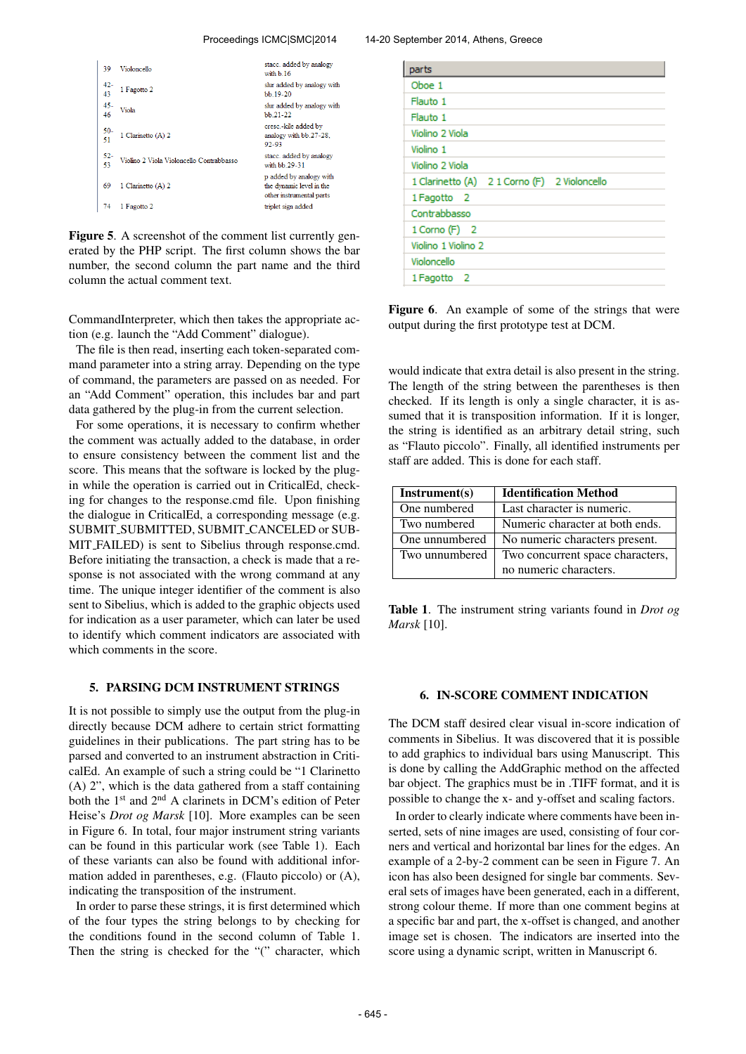#### Proceedings ICMC|SMC|2014 14-20 September 2014, Athens, Greece

| 39           | Violoncello                              | stacc. added by analogy<br>with b 16                                            |
|--------------|------------------------------------------|---------------------------------------------------------------------------------|
| 42-<br>43    | 1 Fagotto 2                              | slur added by analogy with<br>bb.19-20                                          |
| $45 -$<br>46 | Viola                                    | slur added by analogy with<br>$bb.21-22$                                        |
| $50 -$<br>51 | 1 Clarinetto (A) 2                       | cresc.-kile added by<br>analogy with bb.27-28,<br>92-93                         |
| $52-$<br>53  | Violino 2 Viola Violoncello Contrabbasso | stacc. added by analogy<br>with bb 29-31                                        |
| 69           | 1 Clarinetto (A) 2                       | p added by analogy with<br>the dynamic level in the<br>other instrumental parts |
| 74           | 1 Fagotto 2                              | triplet sign added                                                              |

Figure 5. A screenshot of the comment list currently generated by the PHP script. The first column shows the bar number, the second column the part name and the third column the actual comment text.

CommandInterpreter, which then takes the appropriate action (e.g. launch the "Add Comment" dialogue).

The file is then read, inserting each token-separated command parameter into a string array. Depending on the type of command, the parameters are passed on as needed. For an "Add Comment" operation, this includes bar and part data gathered by the plug-in from the current selection.

For some operations, it is necessary to confirm whether the comment was actually added to the database, in order to ensure consistency between the comment list and the score. This means that the software is locked by the plugin while the operation is carried out in CriticalEd, checking for changes to the response.cmd file. Upon finishing the dialogue in CriticalEd, a corresponding message (e.g. SUBMIT SUBMITTED, SUBMIT CANCELED or SUB-MIT FAILED) is sent to Sibelius through response.cmd. Before initiating the transaction, a check is made that a response is not associated with the wrong command at any time. The unique integer identifier of the comment is also sent to Sibelius, which is added to the graphic objects used for indication as a user parameter, which can later be used to identify which comment indicators are associated with which comments in the score.

#### 5. PARSING DCM INSTRUMENT STRINGS

It is not possible to simply use the output from the plug-in directly because DCM adhere to certain strict formatting guidelines in their publications. The part string has to be parsed and converted to an instrument abstraction in CriticalEd. An example of such a string could be "1 Clarinetto (A) 2", which is the data gathered from a staff containing both the 1st and 2nd A clarinets in DCM's edition of Peter Heise's *Drot og Marsk* [10]. More examples can be seen in Figure 6. In total, four major instrument string variants can be found in this particular work (see Table 1). Each of these variants can also be found with additional information added in parentheses, e.g. (Flauto piccolo) or (A), indicating the transposition of the instrument.

In order to parse these strings, it is first determined which of the four types the string belongs to by checking for the conditions found in the second column of Table 1. Then the string is checked for the "(" character, which

| parts                                        |
|----------------------------------------------|
| Oboe 1                                       |
| Flauto 1                                     |
| Flauto 1                                     |
| Violino 2 Viola                              |
| Violino 1                                    |
| Violino 2 Viola                              |
| 1 Clarinetto (A) 2 1 Corno (F) 2 Violoncello |
| 1 Fagotto 2                                  |
| Contrabbasso                                 |
| $1$ Corno (F) $2$                            |
| Violino 1 Violino 2                          |
| Violoncello                                  |
| 1 Fagotto 2                                  |

Figure 6. An example of some of the strings that were output during the first prototype test at DCM.

would indicate that extra detail is also present in the string. The length of the string between the parentheses is then checked. If its length is only a single character, it is assumed that it is transposition information. If it is longer, the string is identified as an arbitrary detail string, such as "Flauto piccolo". Finally, all identified instruments per staff are added. This is done for each staff.

| Instrument(s)  | <b>Identification Method</b>     |  |  |
|----------------|----------------------------------|--|--|
| One numbered   | Last character is numeric.       |  |  |
| Two numbered   | Numeric character at both ends.  |  |  |
| One unnumbered | No numeric characters present.   |  |  |
| Two unnumbered | Two concurrent space characters, |  |  |
|                | no numeric characters.           |  |  |

Table 1. The instrument string variants found in *Drot og Marsk* [10].

#### 6. IN-SCORE COMMENT INDICATION

The DCM staff desired clear visual in-score indication of comments in Sibelius. It was discovered that it is possible to add graphics to individual bars using Manuscript. This is done by calling the AddGraphic method on the affected bar object. The graphics must be in .TIFF format, and it is possible to change the x- and y-offset and scaling factors.

In order to clearly indicate where comments have been inserted, sets of nine images are used, consisting of four corners and vertical and horizontal bar lines for the edges. An example of a 2-by-2 comment can be seen in Figure 7. An icon has also been designed for single bar comments. Several sets of images have been generated, each in a different, strong colour theme. If more than one comment begins at a specific bar and part, the x-offset is changed, and another image set is chosen. The indicators are inserted into the score using a dynamic script, written in Manuscript 6.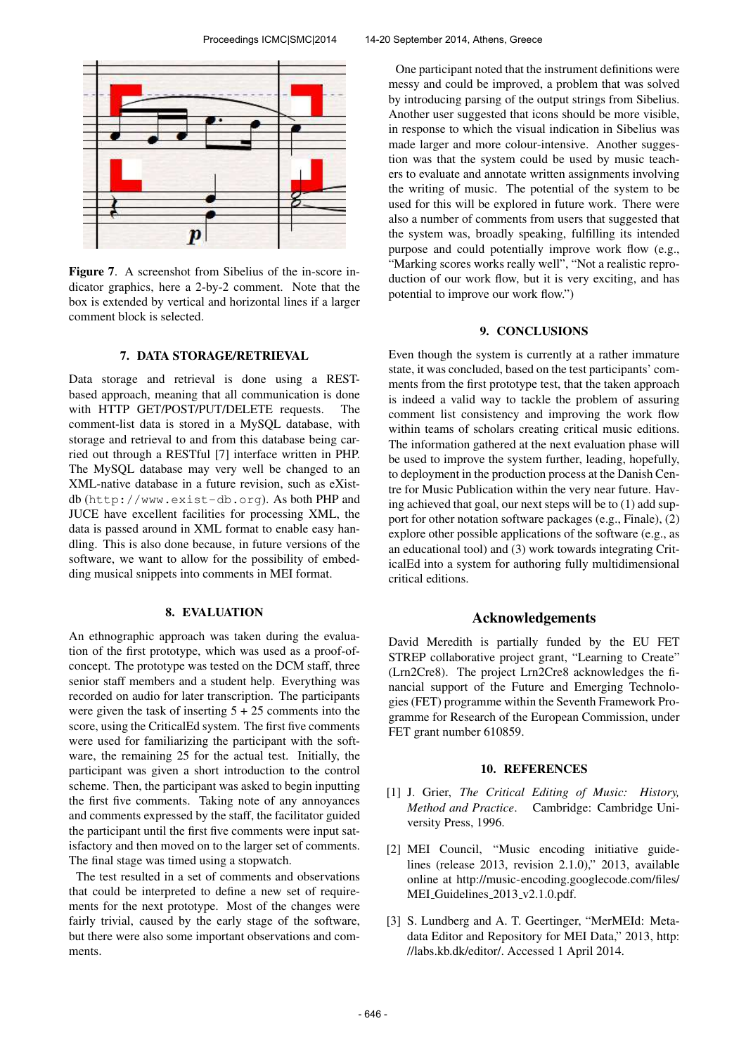

Figure 7. A screenshot from Sibelius of the in-score indicator graphics, here a 2-by-2 comment. Note that the box is extended by vertical and horizontal lines if a larger comment block is selected.

# 7. DATA STORAGE/RETRIEVAL

Data storage and retrieval is done using a RESTbased approach, meaning that all communication is done with HTTP GET/POST/PUT/DELETE requests. The comment-list data is stored in a MySQL database, with storage and retrieval to and from this database being carried out through a RESTful [7] interface written in PHP. The MySQL database may very well be changed to an XML-native database in a future revision, such as eXistdb (<http://www.exist-db.org>). As both PHP and JUCE have excellent facilities for processing XML, the data is passed around in XML format to enable easy handling. This is also done because, in future versions of the software, we want to allow for the possibility of embedding musical snippets into comments in MEI format.

# 8. EVALUATION

An ethnographic approach was taken during the evaluation of the first prototype, which was used as a proof-ofconcept. The prototype was tested on the DCM staff, three senior staff members and a student help. Everything was recorded on audio for later transcription. The participants were given the task of inserting  $5 + 25$  comments into the score, using the CriticalEd system. The first five comments were used for familiarizing the participant with the software, the remaining 25 for the actual test. Initially, the participant was given a short introduction to the control scheme. Then, the participant was asked to begin inputting the first five comments. Taking note of any annoyances and comments expressed by the staff, the facilitator guided the participant until the first five comments were input satisfactory and then moved on to the larger set of comments. The final stage was timed using a stopwatch.

The test resulted in a set of comments and observations that could be interpreted to define a new set of requirements for the next prototype. Most of the changes were fairly trivial, caused by the early stage of the software, but there were also some important observations and comments.

One participant noted that the instrument definitions were messy and could be improved, a problem that was solved by introducing parsing of the output strings from Sibelius. Another user suggested that icons should be more visible, in response to which the visual indication in Sibelius was made larger and more colour-intensive. Another suggestion was that the system could be used by music teachers to evaluate and annotate written assignments involving the writing of music. The potential of the system to be used for this will be explored in future work. There were also a number of comments from users that suggested that the system was, broadly speaking, fulfilling its intended purpose and could potentially improve work flow (e.g., "Marking scores works really well", "Not a realistic reproduction of our work flow, but it is very exciting, and has potential to improve our work flow.")

#### 9. CONCLUSIONS

Even though the system is currently at a rather immature state, it was concluded, based on the test participants' comments from the first prototype test, that the taken approach is indeed a valid way to tackle the problem of assuring comment list consistency and improving the work flow within teams of scholars creating critical music editions. The information gathered at the next evaluation phase will be used to improve the system further, leading, hopefully, to deployment in the production process at the Danish Centre for Music Publication within the very near future. Having achieved that goal, our next steps will be to (1) add support for other notation software packages (e.g., Finale), (2) explore other possible applications of the software (e.g., as an educational tool) and (3) work towards integrating CriticalEd into a system for authoring fully multidimensional critical editions.

# Acknowledgements

David Meredith is partially funded by the EU FET STREP collaborative project grant, "Learning to Create" (Lrn2Cre8). The project Lrn2Cre8 acknowledges the financial support of the Future and Emerging Technologies (FET) programme within the Seventh Framework Programme for Research of the European Commission, under FET grant number 610859.

#### 10. REFERENCES

- [1] J. Grier, *The Critical Editing of Music: History, Method and Practice*. Cambridge: Cambridge University Press, 1996.
- [2] MEI Council, "Music encoding initiative guidelines (release 2013, revision 2.1.0)," 2013, available online at [http://music-encoding.googlecode.com/files/](http://music-encoding.googlecode.com/files/MEI_Guidelines_2013_v2.1.0.pdf) MEI\_[Guidelines](http://music-encoding.googlecode.com/files/MEI_Guidelines_2013_v2.1.0.pdf)\_2013\_v2.1.0.pdf.
- [3] S. Lundberg and A. T. Geertinger, "MerMEId: Metadata Editor and Repository for MEI Data," 2013, [http:](http://labs.kb.dk/editor/) [//labs.kb.dk/editor/.](http://labs.kb.dk/editor/) Accessed 1 April 2014.